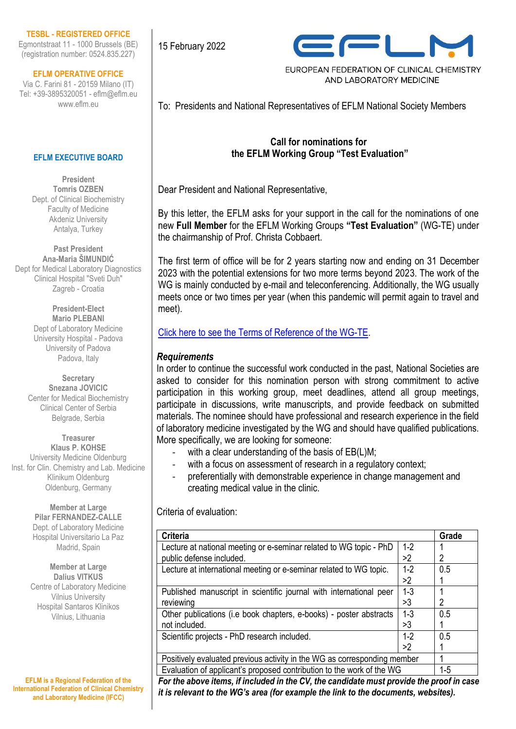#### **TESBL - REGISTERED OFFICE**

Egmontstraat 11 - 1000 Brussels (BE) (registration number: 0524.835.227)

**EFLM OPERATIVE OFFICE**

Via C. Farini 81 - 20159 Milano (IT) Tel: +39-3895320051 - eflm@eflm.eu www.eflm.eu

#### **EFLM EXECUTIVE BOARD**

**President Tomris OZBEN** Dept. of Clinical Biochemistry Faculty of Medicine Akdeniz University Antalya, Turkey

**Past President Ana-Maria ŠIMUNDIĆ** Dept for Medical Laboratory Diagnostics Clinical Hospital "Sveti Duh" Zagreb - Croatia

> **President-Elect Mario PLEBANI** Dept of Laboratory Medicine University Hospital - Padova University of Padova Padova, Italy

**Secretary Snezana JOVICIC** Center for Medical Biochemistry Clinical Center of Serbia Belgrade, Serbia

**Treasurer Klaus P. KOHSE** University Medicine Oldenburg Inst. for Clin. Chemistry and Lab. Medicine Klinikum Oldenburg Oldenburg, Germany

> **Member at Large Pilar FERNANDEZ-CALLE** Dept. of Laboratory Medicine Hospital Universitario La Paz Madrid, Spain

**Member at Large Dalius VITKUS** Centre of Laboratory Medicine Vilnius University Hospital Santaros Klinikos Vilnius, Lithuania

**EFLM is a Regional Federation of the International Federation of Clinical Chemistry and Laboratory Medicine (IFCC)**

15 February 2022



EUROPEAN FEDERATION OF CLINICAL CHEMISTRY AND LABORATORY MEDICINE

To: Presidents and National Representatives of EFLM National Society Members

## **Call for nominations for the EFLM Working Group "Test Evaluation"**

Dear President and National Representative,

By this letter, the EFLM asks for your support in the call for the nominations of one new **Full Member** for the EFLM Working Groups **"Test Evaluation"** (WG-TE) under the chairmanship of Prof. Christa Cobbaert.

The first term of office will be for 2 years starting now and ending on 31 December 2023 with the potential extensions for two more terms beyond 2023. The work of the WG is mainly conducted by e-mail and teleconferencing. Additionally, the WG usually meets once or two times per year (when this pandemic will permit again to travel and meet).

Click here to [see the Terms of Reference of the WG-TE.](https://www.eflm.eu/site/page/a/1158)

## *Requirements*

In order to continue the successful work conducted in the past, National Societies are asked to consider for this nomination person with strong commitment to active participation in this working group, meet deadlines, attend all group meetings, participate in discussions, write manuscripts, and provide feedback on submitted materials. The nominee should have professional and research experience in the field of laboratory medicine investigated by the WG and should have qualified publications. More specifically, we are looking for someone:

- with a clear understanding of the basis of  $EB(L)M$ ;
- with a focus on assessment of research in a regulatory context;
- preferentially with demonstrable experience in change management and creating medical value in the clinic.

Criteria of evaluation:

| <b>Criteria</b>                                                          |         | Grade |
|--------------------------------------------------------------------------|---------|-------|
| Lecture at national meeting or e-seminar related to WG topic - PhD       | $1 - 2$ |       |
| public defense included.                                                 | >2      | 2     |
| Lecture at international meeting or e-seminar related to WG topic.       | $1-2$   | 0.5   |
|                                                                          | >2      |       |
| Published manuscript in scientific journal with international peer       | $1 - 3$ |       |
| reviewing                                                                | >3      | 2     |
| Other publications (i.e book chapters, e-books) - poster abstracts       | $1 - 3$ | 0.5   |
| not included.                                                            | >3      |       |
| Scientific projects - PhD research included.                             | $1 - 2$ | 0.5   |
|                                                                          | >2      |       |
| Positively evaluated previous activity in the WG as corresponding member |         |       |
| Evaluation of applicant's proposed contribution to the work of the WG    |         | $1-5$ |

*For the above items, if included in the CV, the candidate must provide the proof in case it is relevant to the WG's area (for example the link to the documents, websites).*